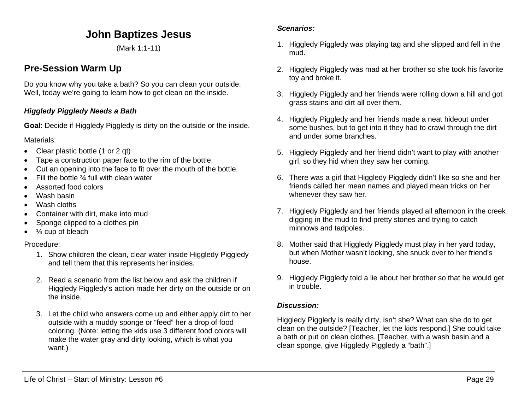# **John Baptizes Jesus**

(Mark 1:1-11)

# **Pre-Session Warm Up**

Do you know why you take a bath? So you can clean your outside. Well, today we're going to learn how to get clean on the inside.

## *Higgledy Piggledy Needs a Bath*

**Goal**: Decide if Higgledy Piggledy is dirty on the outside or the inside.

Materials:

- Clear plastic bottle (1 or 2 qt)
- Tape a construction paper face to the rim of the bottle.
- Cut an opening into the face to fit over the mouth of the bottle.
- Fill the bottle  $\frac{3}{4}$  full with clean water
- Assorted food colors
- Wash basin
- Wash cloths
- Container with dirt, make into mud
- Sponge clipped to a clothes pin
- $\bullet$   $\frac{1}{4}$  cup of bleach

### Procedure:

- 1. Show children the clean, clear water inside Higgledy Piggledy and tell them that this represents her insides.
- 2. Read a scenario from the list below and ask the children if Higgledy Piggledy's action made her dirty on the outside or on the inside.
- 3. Let the child who answers come up and either apply dirt to her outside with a muddy sponge or "feed" her a drop of food coloring. (Note: letting the kids use 3 different food colors will make the water gray and dirty looking, which is what you want.)

### *Scenarios:*

- 1. Higgledy Piggledy was playing tag and she slipped and fell in the mud.
- 2. Higgledy Piggledy was mad at her brother so she took his favorite toy and broke it.
- 3. Higgledy Piggledy and her friends were rolling down a hill and got grass stains and dirt all over them.
- 4. Higgledy Piggledy and her friends made a neat hideout under some bushes, but to get into it they had to crawl through the dirt and under some branches.
- 5. Higgledy Piggledy and her friend didn't want to play with another girl, so they hid when they saw her coming.
- 6. There was a girl that Higgledy Piggledy didn't like so she and her friends called her mean names and played mean tricks on her whenever they saw her.
- 7. Higgledy Piggledy and her friends played all afternoon in the creek digging in the mud to find pretty stones and trying to catch minnows and tadpoles.
- 8. Mother said that Higgledy Piggledy must play in her yard today, but when Mother wasn't looking, she snuck over to her friend's house.
- 9. Higgledy Piggledy told a lie about her brother so that he would get in trouble.

### *Discussion:*

Higgledy Piggledy is really dirty, isn't she? What can she do to get clean on the outside? [Teacher, let the kids respond.] She could take a bath or put on clean clothes. [Teacher, with a wash basin and a clean sponge, give Higgledy Piggledy a "bath".]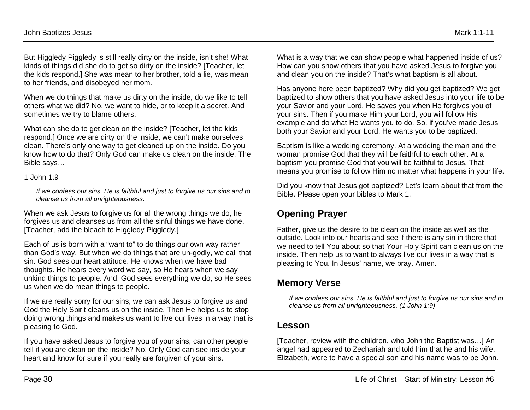But Higgledy Piggledy is still really dirty on the inside, isn't she! What kinds of things did she do to get so dirty on the inside? [Teacher, let the kids respond.] She was mean to her brother, told a lie, was mean to her friends, and disobeyed her mom.

When we do things that make us dirty on the inside, do we like to tell others what we did? No, we want to hide, or to keep it a secret. And sometimes we try to blame others.

What can she do to get clean on the inside? [Teacher, let the kids respond.] Once we are dirty on the inside, we can't make ourselves clean. There's only one way to get cleaned up on the inside. Do you know how to do that? Only God can make us clean on the inside. The Bible says…

#### 1 John 1:9

*If we confess our sins, He is faithful and just to forgive us our sins and to cleanse us from all unrighteousness.*

When we ask Jesus to forgive us for all the wrong things we do, he forgives us and cleanses us from all the sinful things we have done. [Teacher, add the bleach to Higgledy Piggledy.]

Each of us is born with a "want to" to do things our own way rather than God's way. But when we do things that are un-godly, we call that sin. God sees our heart attitude. He knows when we have bad thoughts. He hears every word we say, so He hears when we say unkind things to people. And, God sees everything we do, so He sees us when we do mean things to people.

If we are really sorry for our sins, we can ask Jesus to forgive us and God the Holy Spirit cleans us on the inside. Then He helps us to stop doing wrong things and makes us want to live our lives in a way that is pleasing to God.

If you have asked Jesus to forgive you of your sins, can other people tell if you are clean on the inside? No! Only God can see inside your heart and know for sure if you really are forgiven of your sins.

What is a way that we can show people what happened inside of us? How can you show others that you have asked Jesus to forgive you and clean you on the inside? That's what baptism is all about.

Has anyone here been baptized? Why did you get baptized? We get baptized to show others that you have asked Jesus into your life to be your Savior and your Lord. He saves you when He forgives you of your sins. Then if you make Him your Lord, you will follow His example and do what He wants you to do. So, if you've made Jesus both your Savior and your Lord, He wants you to be baptized.

Baptism is like a wedding ceremony. At a wedding the man and the woman promise God that they will be faithful to each other. At a baptism you promise God that you will be faithful to Jesus. That means you promise to follow Him no matter what happens in your life.

Did you know that Jesus got baptized? Let's learn about that from the Bible. Please open your bibles to Mark 1.

# **Opening Prayer**

Father, give us the desire to be clean on the inside as well as the outside. Look into our hearts and see if there is any sin in there that we need to tell You about so that Your Holy Spirit can clean us on the inside. Then help us to want to always live our lives in a way that is pleasing to You. In Jesus' name, we pray. Amen.

# **Memory Verse**

*If we confess our sins, He is faithful and just to forgive us our sins and to cleanse us from all unrighteousness. (1 John 1:9)*

## **Lesson**

[Teacher, review with the children, who John the Baptist was…] An angel had appeared to Zechariah and told him that he and his wife, Elizabeth, were to have a special son and his name was to be John.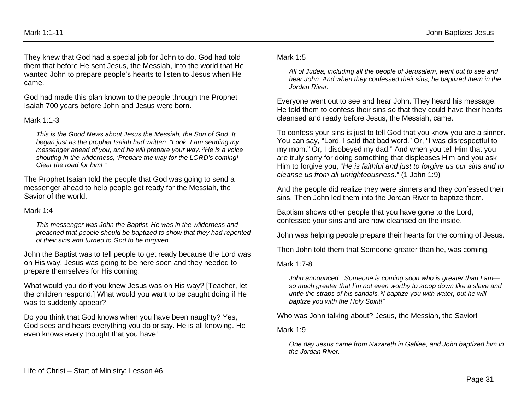They knew that God had a special job for John to do. God had told them that before He sent Jesus, the Messiah, into the world that He wanted John to prepare people's hearts to listen to Jesus when He came.

God had made this plan known to the people through the Prophet Isaiah 700 years before John and Jesus were born.

#### Mark 1:1-3

*This is the Good News about Jesus the Messiah, the Son of God. It began just as the prophet Isaiah had written: "Look, I am sending my messenger ahead of you, and he will prepare your way. 3He is a voice shouting in the wilderness, 'Prepare the way for the LORD's coming! Clear the road for him!'"*

The Prophet Isaiah told the people that God was going to send a messenger ahead to help people get ready for the Messiah, the Savior of the world.

#### Mark 1:4

*This messenger was John the Baptist. He was in the wilderness and preached that people should be baptized to show that they had repented of their sins and turned to God to be forgiven.*

John the Baptist was to tell people to get ready because the Lord was on His way! Jesus was going to be here soon and they needed to prepare themselves for His coming.

What would you do if you knew Jesus was on His way? [Teacher, let the children respond.] What would you want to be caught doing if He was to suddenly appear?

Do you think that God knows when you have been naughty? Yes, God sees and hears everything you do or say. He is all knowing. He even knows every thought that you have!

#### Mark 1:5

*All of Judea, including all the people of Jerusalem, went out to see and hear John. And when they confessed their sins, he baptized them in the Jordan River.*

Everyone went out to see and hear John. They heard his message. He told them to confess their sins so that they could have their hearts cleansed and ready before Jesus, the Messiah, came.

To confess your sins is just to tell God that you know you are a sinner. You can say, "Lord, I said that bad word." Or, "I was disrespectful to my mom." Or, I disobeyed my dad." And when you tell Him that you are truly sorry for doing something that displeases Him and you ask Him to forgive you, "*He is faithful and just to forgive us our sins and to cleanse us from all unrighteousness*." (1 John 1:9)

And the people did realize they were sinners and they confessed their sins. Then John led them into the Jordan River to baptize them.

Baptism shows other people that you have gone to the Lord, confessed your sins and are now cleansed on the inside.

John was helping people prepare their hearts for the coming of Jesus.

Then John told them that Someone greater than he, was coming.

Mark 1:7-8

*John announced: "Someone is coming soon who is greater than I am so much greater that I'm not even worthy to stoop down like a slave and untie the straps of his sandals. 8I baptize you with water, but he will baptize you with the Holy Spirit!"*

Who was John talking about? Jesus, the Messiah, the Savior!

Mark 1:9

*One day Jesus came from Nazareth in Galilee, and John baptized him in the Jordan River.*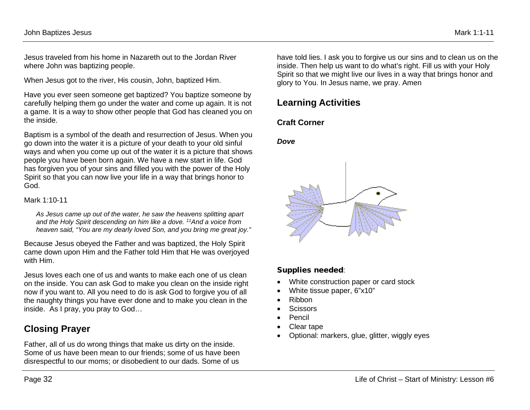Jesus traveled from his home in Nazareth out to the Jordan River where John was baptizing people.

When Jesus got to the river, His cousin, John, baptized Him.

Have you ever seen someone get baptized? You baptize someone by carefully helping them go under the water and come up again. It is not a game. It is a way to show other people that God has cleaned you on the inside.

Baptism is a symbol of the death and resurrection of Jesus. When you go down into the water it is a picture of your death to your old sinful ways and when you come up out of the water it is a picture that shows people you have been born again. We have a new start in life. God has forgiven you of your sins and filled you with the power of the Holy Spirit so that you can now live your life in a way that brings honor to God.

Mark 1:10-11

*As Jesus came up out of the water, he saw the heavens splitting apart and the Holy Spirit descending on him like a dove. 11And a voice from heaven said, "You are my dearly loved Son, and you bring me great joy."*

Because Jesus obeyed the Father and was baptized, the Holy Spirit came down upon Him and the Father told Him that He was overjoyed with Him.

Jesus loves each one of us and wants to make each one of us clean on the inside. You can ask God to make you clean on the inside right now if you want to. All you need to do is ask God to forgive you of all the naughty things you have ever done and to make you clean in the inside. As I pray, you pray to God…

# **Closing Prayer**

Father, all of us do wrong things that make us dirty on the inside. Some of us have been mean to our friends; some of us have been disrespectful to our moms; or disobedient to our dads. Some of us

have told lies. I ask you to forgive us our sins and to clean us on the inside. Then help us want to do what's right. Fill us with your Holy Spirit so that we might live our lives in a way that brings honor and glory to You. In Jesus name, we pray. Amen

# **Learning Activities**

# **Craft Corner**

### *Dove*



## Supplies needed:

- White construction paper or card stock
- White tissue paper, 6"x10"
- Ribbon
- Scissors
- Pencil
- Clear tape
- Optional: markers, glue, glitter, wiggly eyes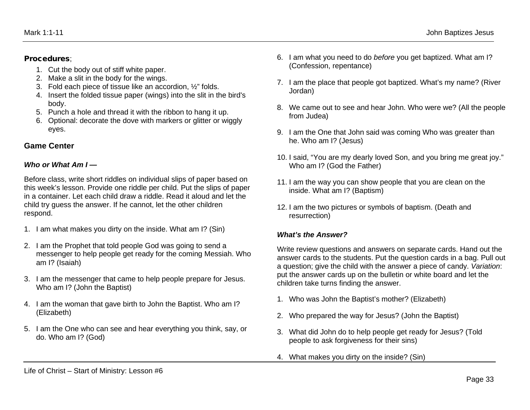### Procedures;

- 1. Cut the body out of stiff white paper.
- 2. Make a slit in the body for the wings.
- 3. Fold each piece of tissue like an accordion, ½" folds.
- 4. Insert the folded tissue paper (wings) into the slit in the bird's body.
- 5. Punch a hole and thread it with the ribbon to hang it up.
- 6. Optional: decorate the dove with markers or glitter or wiggly eyes.

# **Game Center**

## *Who or What Am I —*

Before class, write short riddles on individual slips of paper based on this week's lesson. Provide one riddle per child. Put the slips of paper in a container. Let each child draw a riddle. Read it aloud and let the child try guess the answer. If he cannot, let the other children respond.

- 1. I am what makes you dirty on the inside. What am I? (Sin)
- 2. I am the Prophet that told people God was going to send a messenger to help people get ready for the coming Messiah. Who am I? (Isaiah)
- 3. I am the messenger that came to help people prepare for Jesus. Who am I? (John the Baptist)
- 4. I am the woman that gave birth to John the Baptist. Who am I? (Elizabeth)
- 5. I am the One who can see and hear everything you think, say, or do. Who am I? (God)
- 6. I am what you need to do *before* you get baptized. What am I? (Confession, repentance)
- 7. I am the place that people got baptized. What's my name? (River Jordan)
- 8. We came out to see and hear John. Who were we? (All the people from Judea)
- 9. I am the One that John said was coming Who was greater than he. Who am I? (Jesus)
- 10. I said, "You are my dearly loved Son, and you bring me great joy." Who am I? (God the Father)
- 11. I am the way you can show people that you are clean on the inside. What am I? (Baptism)
- 12. I am the two pictures or symbols of baptism. (Death and resurrection)

# *What's the Answer?*

Write review questions and answers on separate cards. Hand out the answer cards to the students. Put the question cards in a bag. Pull out a question; give the child with the answer a piece of candy. *Variation*: put the answer cards up on the bulletin or white board and let the children take turns finding the answer.

- 1. Who was John the Baptist's mother? (Elizabeth)
- 2. Who prepared the way for Jesus? (John the Baptist)
- 3. What did John do to help people get ready for Jesus? (Told people to ask forgiveness for their sins)
- 4. What makes you dirty on the inside? (Sin)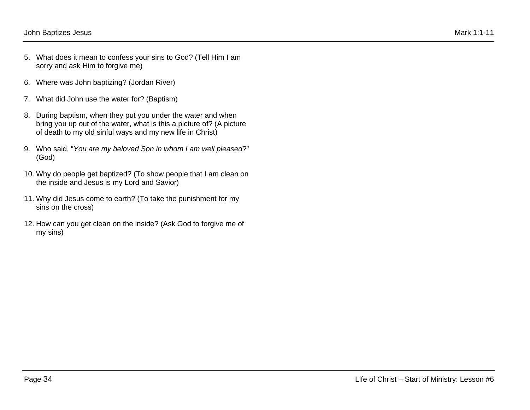- 5. What does it mean to confess your sins to God? (Tell Him I am sorry and ask Him to forgive me)
- 6. Where was John baptizing? (Jordan River)
- 7. What did John use the water for? (Baptism)
- 8. During baptism, when they put you under the water and when bring you up out of the water, what is this a picture of? (A picture of death to my old sinful ways and my new life in Christ)
- 9. Who said, "*You are my beloved Son in whom I am well pleased*?" (God)
- 10. Why do people get baptized? (To show people that I am clean on the inside and Jesus is my Lord and Savior)
- 11. Why did Jesus come to earth? (To take the punishment for my sins on the cross)
- 12. How can you get clean on the inside? (Ask God to forgive me of my sins)